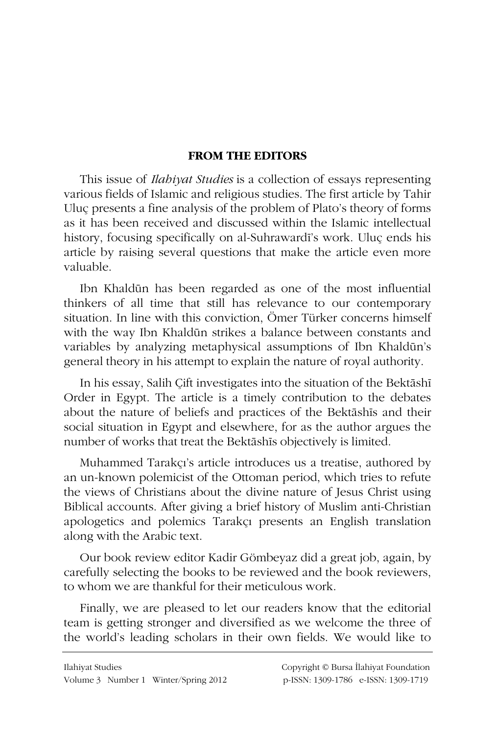## **FROM THE EDITORS**

This issue of *Ilahiyat Studies* is a collection of essays representing various fields of Islamic and religious studies. The first article by Tahir Uluç presents a fine analysis of the problem of Plato's theory of forms as it has been received and discussed within the Islamic intellectual history, focusing specifically on al-Suhrawardī's work. Uluç ends his article by raising several questions that make the article even more valuable.

Ibn Khaldán has been regarded as one of the most influential thinkers of all time that still has relevance to our contemporary situation. In line with this conviction, Ömer Türker concerns himself with the way Ibn Khaldán strikes a balance between constants and variables by analyzing metaphysical assumptions of Ibn Khaldán's general theory in his attempt to explain the nature of royal authority.

In his essay, Salih Çift investigates into the situation of the Bektāshī Order in Egypt. The article is a timely contribution to the debates about the nature of beliefs and practices of the Bektāshīs and their social situation in Egypt and elsewhere, for as the author argues the number of works that treat the Bektāshīs objectively is limited.

Muhammed Tarakçı's article introduces us a treatise, authored by an un-known polemicist of the Ottoman period, which tries to refute the views of Christians about the divine nature of Jesus Christ using Biblical accounts. After giving a brief history of Muslim anti-Christian apologetics and polemics Tarakçı presents an English translation along with the Arabic text.

Our book review editor Kadir Gömbeyaz did a great job, again, by carefully selecting the books to be reviewed and the book reviewers, to whom we are thankful for their meticulous work.

Finally, we are pleased to let our readers know that the editorial team is getting stronger and diversified as we welcome the three of the world's leading scholars in their own fields. We would like to